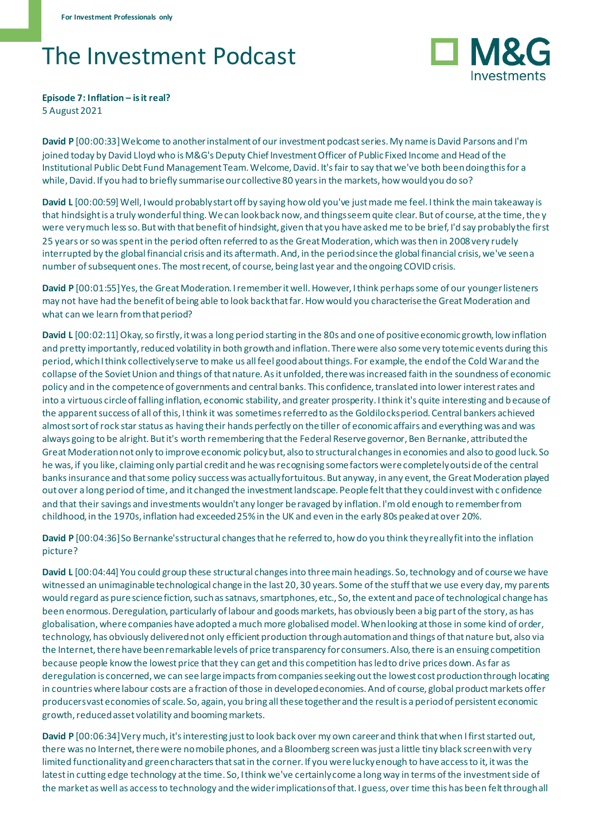## The Investment Podcast



**Episode 7: Inflation – is it real?** 5 August 2021

**David P** [00:00:33] Welcome to another instalment of our investment podcast series. My name is David Parsons and I'm joined today by David Lloyd who is M&G's Deputy Chief Investment Officer of Public Fixed Income and Head of the Institutional Public Debt Fund Management Team. Welcome, David. It's fair to say that we've both been doing this for a while, David. If you had to briefly summarise our collective 80 years in the markets, how would you do so?

David L [00:00:59] Well, I would probably start off by saying how old you've just made me feel. I think the main takeaway is that hindsight is a truly wonderful thing. We can look back now, and things seem quite clear. But of course, at the time, the y were very much less so. But with that benefit of hindsight, given that you have asked me to be brief, I'd say probably the first 25 years or so was spent in the period often referred to as the Great Moderation, which was then in 2008 very rudely interrupted by the global financial crisis and its aftermath. And, in the period since the global financial crisis, we've seen a number of subsequent ones. The most recent, of course, being last year and the ongoing COVID crisis.

**David P** [00:01:55] Yes, the Great Moderation. I remember it well. However, I think perhaps some of our younger listeners may not have had the benefit of being able to look back that far. How would you characterise the Great Moderation and what can we learn from that period?

**David L** [00:02:11] Okay, so firstly, it was a long period starting in the 80s and one of positive economic growth, low inflation and pretty importantly, reduced volatility in both growth and inflation. There were also some very totemic events during this period, which I think collectively serve to make us all feel good about things. For example, the end of the Cold War and the collapse of the Soviet Union and things of that nature. As it unfolded, there was increased faith in the soundness of economic policy and in the competence of governments and central banks. This confidence, translated into lower interest rates and into a virtuous circle of falling inflation, economic stability, and greater prosperity. I think it's quite interesting and because of the apparent success of all of this, I think it was sometimes referred to as the Goldilocks period. Central bankers achieved almost sort of rock star status as having their hands perfectly on the tiller of economic affairs and everything was and was always going to be alright. But it's worth remembering that the Federal Reserve governor, Ben Bernanke, attributed the Great Moderation not only to improve economic policy but, also to structural changes in economies and also to good luck. So he was, if you like, claiming only partial credit and he was recognising some factors were completely outside of the central banks insurance and that some policy success was actually fortuitous. But anyway, in any event, the Great Moderation played out over a long period of time, and it changed the investment landscape. People felt that they could invest with c onfidence and that their savings and investments wouldn't any longer be ravaged by inflation. I'm old enough to remember from childhood, in the 1970s, inflation had exceeded 25% in the UK and even in the early 80s peaked at over 20%.

**David P** [00:04:36] So Bernanke's structural changes that he referred to, how do you think they really fit into the inflation picture?

**David L** [00:04:44] You could group these structural changes into three main headings. So, technology and of course we have witnessed an unimaginable technological change in the last 20, 30 years. Some of the stuff that we use every day, my parents would regard as pure science fiction, such as satnavs, smartphones, etc., So, the extent and pace of technological change has been enormous. Deregulation, particularly of labour and goods markets, has obviously been a big part of the story, as has globalisation, where companies have adopted a much more globalised model. When looking at those in some kind of order, technology, has obviously delivered not only efficient production through automation and things of that nature but, also via the Internet, there have been remarkable levels of price transparency for consumers. Also, there is an ensuing competition because people know the lowest price that they can get and this competition has led to drive prices down. As far as deregulation is concerned, we can see large impacts from companies seeking out the lowest cost production through locating in countries where labour costs are a fraction of those in developed economies. And of course, global product markets offer producers vast economies of scale. So, again, you bring all these together and the result is a period of persistent economic growth, reduced asset volatility and booming markets.

**David P** [00:06:34] Very much, it's interesting just to look back over my own career and think that when I first started out, there was no Internet, there were no mobile phones, and a Bloomberg screen was just a little tiny black screen with very limited functionality and green characters that sat in the corner. If you were lucky enough to have access to it, it was the latest in cutting edge technology at the time. So, I think we've certainly come a long way in terms of the investment side of the market as well as access to technology and the wider implications of that. I guess, over time this has been felt through all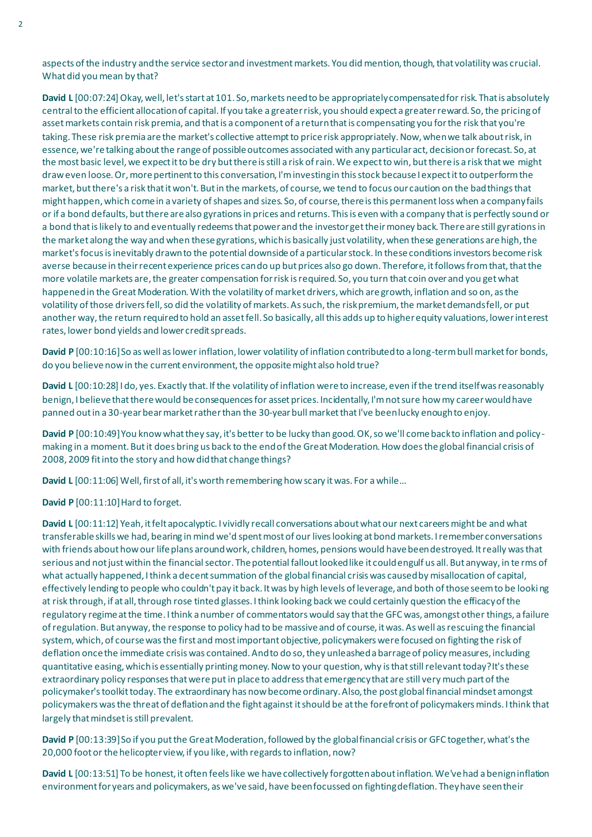aspects of the industry and the service sector and investment markets. You did mention, though, that volatility was crucial. What did you mean by that?

**David L** [00:07:24] Okay, well, let's start at 101. So, markets need to be appropriately compensated for risk. That is absolutely central to the efficient allocation of capital. If you take a greater risk, you should expect a greater reward. So, the pricing of asset markets contain risk premia, and that is a component of a return that is compensating you for the risk that you're taking. These risk premia are the market's collective attempt to price risk appropriately. Now, when we talk about risk, in essence, we're talking about the range of possible outcomes associated with any particular act, decision or forecast. So, at the most basic level, we expect it to be dry but there is still a risk of rain. We expect to win, but there is a risk that we might draw even loose. Or, more pertinent to this conversation, I'm investing in this stock because I expect it to outperform the market, but there's a risk that it won't. But in the markets, of course, we tend to focus our caution on the bad things that might happen, which come in a variety of shapes and sizes. So, of course, there is this permanent loss when a company fails or if a bond defaults, but there are also gyrations in prices and returns. This is even with a company that is perfectly sound or a bond that is likely to and eventually redeems that power and the investor get their money back. There are still gyrations in the market along the way and when these gyrations, which is basically just volatility, when these generations are high, the market's focus is inevitably drawn to the potential downside of a particular stock. In these conditions investors become risk averse because in their recent experience prices can do up but prices also go down. Therefore, it follows from that, that the more volatile markets are, the greater compensation for risk is required. So, you turn that coin over and you get what happened in the Great Moderation. With the volatility of market drivers, which are growth, inflation and so on, as the volatility of those drivers fell, so did the volatility of markets. As such, the risk premium, the market demands fell, or put another way, the return required to hold an asset fell. So basically, all this adds up to higher equity valuations, lower interest rates, lower bond yields and lower credit spreads.

David P [00:10:16] So as well as lower inflation, lower volatility of inflation contributed to a long-term bull market for bonds, do you believe now in the current environment, the opposite might also hold true?

**David L** [00:10:28] I do, yes. Exactly that. If the volatility of inflation were to increase, even if the trend itself was reasonably benign, I believe that there would be consequences for asset prices. Incidentally, I'm not sure how my career would have panned out in a 30-year bear market rather than the 30-year bull market that I've been lucky enough to enjoy.

**David P** [00:10:49] You know what they say, it's better to be lucky than good. OK, so we'll come back to inflation and policy making in a moment. But it does bring us back to the end of the Great Moderation. How does the global financial crisis of 2008, 2009 fit into the story and how did that change things?

**David L** [00:11:06] Well, first of all, it's worth remembering how scary it was. For a while...

**David P** [00:11:10] Hard to forget.

**David L** [00:11:12] Yeah, it felt apocalyptic. I vividly recall conversations about what our next careers might be and what transferable skills we had, bearing in mind we'd spent most of our lives looking at bond markets. I remember conversations with friends about how our life plans around work, children, homes, pensions would have been destroyed. It really was that serious and not just within the financial sector. The potential fallout looked like it could engulf us all. But anyway, in te rms of what actually happened, I think a decent summation of the global financial crisis was caused by misallocation of capital, effectively lending to people who couldn't pay it back. It was by high levels of leverage, and both of those seem to be looking at risk through, if at all, through rose tinted glasses. I think looking back we could certainly question the efficacy of the regulatory regime at the time. I think a number of commentators would say that the GFC was, amongst other things, a failure of regulation. But anyway, the response to policy had to be massive and of course, it was. As well as rescuing the financial system, which, of course was the first and most important objective, policymakers were focused on fighting the risk of deflation once the immediate crisis was contained. And to do so, they unleashed a barrage of policy measures, including quantitative easing, which is essentially printing money. Now to your question, why is that still relevant today? It's these extraordinary policy responses that were putin place to address that emergency that are still very much part of the policymaker's toolkit today. The extraordinary has now become ordinary. Also, the post global financial mindset amongst policymakers was the threat of deflation and the fight against it should be at the forefront of policymakers minds. I think that largely that mindset is still prevalent.

**David P** [00:13:39] So if you put the Great Moderation, followed by the global financial crisis or GFC together, what's the 20,000 foot or the helicopter view, if you like, with regards to inflation, now?

**David L** [00:13:51] To be honest, it often feels like we have collectively forgotten about inflation. We've had a benign inflation environment for years and policymakers, as we've said, have been focussed on fighting deflation. They have seen their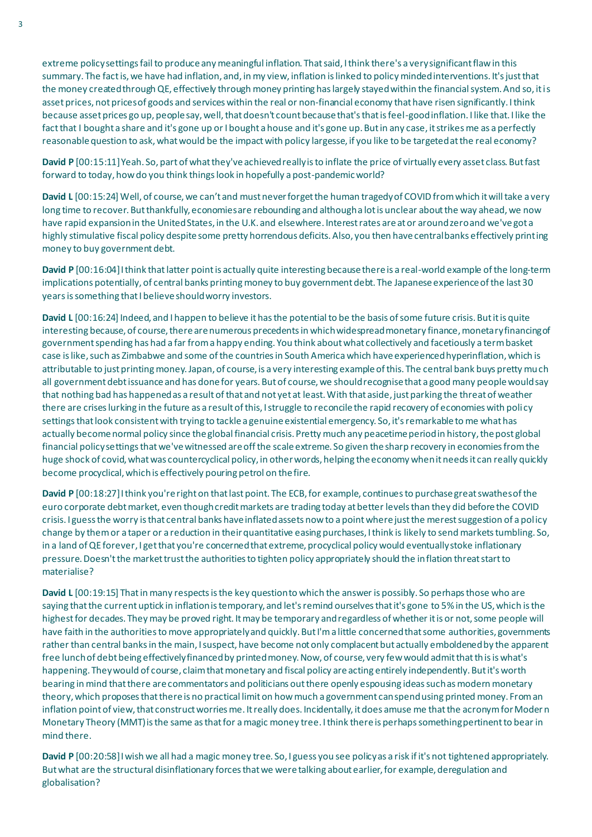extreme policy settings fail to produce any meaningful inflation. That said, I think there's a very significant flaw in this summary. The fact is, we have had inflation, and, in my view, inflation is linked to policy minded interventions. It's just that the money created through QE, effectively through money printing has largely stayed within the financial system. And so, it is asset prices, not prices of goods and services within the real or non-financial economy that have risen significantly. I think because asset prices go up, people say, well, that doesn't count because that's that is feel-good inflation. I like that. I like the fact that I bought a share and it's gone up or I bought a house and it's gone up. But in any case, it strikes me as a perfectly reasonable question to ask, what would be the impact with policy largesse, if you like to be targeted at the real economy?

**David P** [00:15:11] Yeah. So, part of what they've achieved really is to inflate the price of virtually every asset class. But fast forward to today, how do you think things look in hopefully a post-pandemic world?

**David L** [00:15:24] Well, of course, we can't and must never forget the human tragedy of COVID from which it will take a very long time to recover. But thankfully, economies are rebounding and although a lot is unclear about the way ahead, we now have rapid expansion in the United States, in the U.K. and elsewhere. Interest rates are at or around zero and we've got a highly stimulative fiscal policy despite some pretty horrendous deficits. Also, you then have central banks effectively printing money to buy government debt.

**David P** [00:16:04] I think that latter point is actually quite interesting because there is a real-world example of the long-term implications potentially, of central banks printing money to buy government debt. The Japanese experience of the last 30 years is something that I believe should worry investors.

**David L** [00:16:24] Indeed, and I happen to believe it has the potential to be the basis of some future crisis. But it is quite interesting because, of course, there are numerous precedents in which widespread monetary finance, monetary financing of government spending has had a far from a happy ending. You think about what collectively and facetiously a term basket case is like, such as Zimbabwe and some of the countries in South America which have experienced hyperinflation, which is attributable to just printing money. Japan, of course, is a very interesting example of this. The central bank buys pretty much all government debt issuance and has done for years. But of course, we should recognise that a good many people would say that nothing bad has happened as a result of that and not yet at least. With that aside, just parking the threat of weather there are crises lurking in the future as a result of this, I struggle to reconcile the rapid recovery of economies with policy settings that look consistent with trying to tackle a genuine existential emergency. So, it's remarkable to me what has actually become normal policy since the global financial crisis. Pretty much any peacetime period in history, the post global financial policy settings that we've witnessed are off the scale extreme. So given the sharp recovery in economies from the huge shock of covid, what was countercyclical policy, in other words, helping the economy when it needs it can really quickly become procyclical, whichis effectively pouring petrol on the fire.

**David P** [00:18:27] I think you're right on that last point. The ECB, for example, continues to purchase great swathes of the euro corporate debt market, even though credit markets are trading today at better levels than they did before the COVID crisis. I guess the worry is that central banks have inflated assets now to a point where just the merest suggestion of a policy change by them or a taper or a reduction in their quantitative easing purchases, I think is likely to send markets tumbling. So, in a land of QE forever, I get that you're concerned that extreme, procyclical policy would eventually stoke inflationary pressure. Doesn't the market trust the authorities to tighten policy appropriately should the inflation threat start to materialise?

**David L** [00:19:15] That in many respects is the key question to which the answer is possibly. So perhaps those who are saying that the current uptick in inflation is temporary, and let's remind ourselves that it's gone to 5% in the US, which is the highest for decades. They may be proved right. It may be temporary and regardless of whether it is or not, some people will have faith in the authorities to move appropriately and quickly. But I'm a little concerned that some authorities, governments rather than central banks in the main, I suspect, have become not only complacent but actually emboldened by the apparent free lunch of debt being effectively financed by printed money. Now, of course, very few would admit that this is what's happening. They would of course, claim that monetary and fiscal policy are acting entirely independently. But it's worth bearing in mind that there are commentators and politicians out there openly espousing ideas such as modern monetary theory, which proposes that there is no practical limit on how much a government can spend using printed money. From an inflation point of view, that construct worries me. It really does. Incidentally, it does amuse me that the acronym for Moder n Monetary Theory (MMT) is the same as that for a magic money tree. I think there is perhaps something pertinent to bear in mind there.

**David P** [00:20:58] I wish we all had a magic money tree. So, I guess you see policy as a risk if it's not tightened appropriately. Butwhat are the structural disinflationary forces that we were talking about earlier, for example, deregulation and globalisation?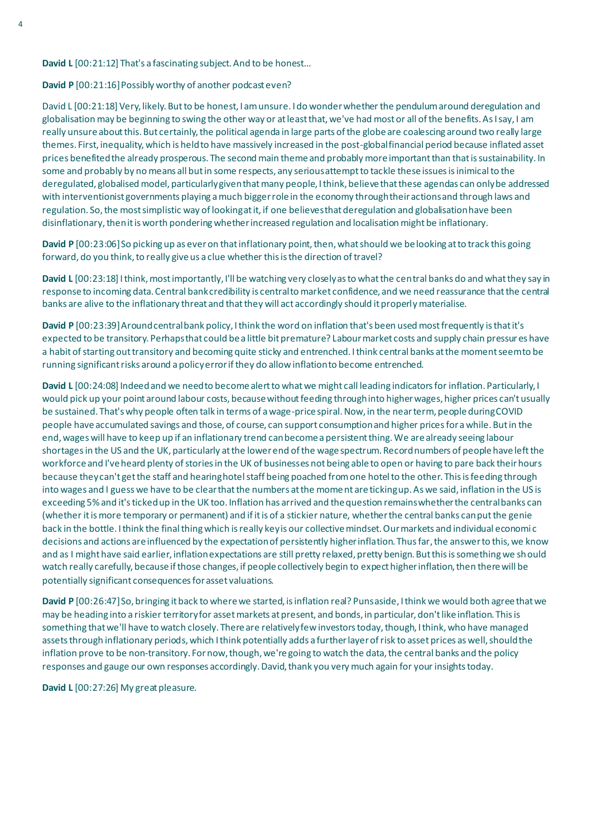**David L** [00:21:12] That's a fascinating subject. And to be honest...

**David P** [00:21:16] Possibly worthy of another podcast even?

David L [00:21:18] Very, likely. But to be honest, I am unsure. I do wonder whether the pendulum around deregulation and globalisation may be beginning to swing the other way or at least that, we've had most or all of the benefits. As I say, I am really unsure about this. But certainly, the political agenda in large parts of the globe are coalescing around two really large themes. First, inequality, which is held to have massively increased in the post-global financial period because inflated asset prices benefited the already prosperous. The second main theme and probably more important than that is sustainability. In some and probably by no means all but in some respects, any serious attempt to tackle these issues is inimical to the deregulated, globalised model, particularly given that many people, I think, believe that these agendas can only be addressed with interventionist governments playing a much bigger role in the economy through their actions and through laws and regulation. So, the most simplistic way of looking at it, if one believes that deregulation and globalisation have been disinflationary, then it is worth pondering whether increased regulation and localisation might be inflationary.

**David P** [00:23:06] So picking up as ever on that inflationary point, then, what should we be looking at to track this going forward, do you think, to really give us a clue whether this is the direction of travel?

**David L** [00:23:18] I think, most importantly, I'll be watching very closely as to what the central banks do and what they say in response to incoming data. Central bank credibility is central to market confidence, and we need reassurance that the central banks are alive to the inflationary threat and that they will act accordingly should it properly materialise.

**David P** [00:23:39] Around central bank policy, I think the word on inflation that's been used most frequently is that it's expected to be transitory. Perhaps that could be a little bit premature? Labour market costs and supply chain pressur es have a habit of starting out transitory and becoming quite sticky and entrenched. I think central banks at the moment seem to be running significant risks around a policy error if they do allow inflation to become entrenched.

**David L** [00:24:08] Indeed and we need to become alert to what we might call leading indicators for inflation. Particularly, I would pick up your point around labour costs, because without feeding through into higher wages, higher prices can't usually be sustained. That's why people often talk in terms of a wage-price spiral. Now, in the near term, people during COVID people have accumulated savings and those, of course, can support consumption and higher prices for a while. But in the end, wages will have to keep up if an inflationary trend can become a persistent thing. We are already seeing labour shortages in the US and the UK, particularly at the lower end of the wage spectrum. Record numbers of people have left the workforce and I've heard plenty of stories in the UK of businesses not being able to open or having to pare back their hours because they can't get the staff and hearing hotel staff being poached from one hotel to the other. This is feeding through into wages and I guess we have to be clear that the numbers at the moment are ticking up. As we said, inflation in the US is exceeding 5% and it's ticked up in the UK too. Inflation has arrived and the question remains whether the central banks can (whether it is more temporary or permanent) and if it is of a stickier nature, whether the central banks can put the genie back in the bottle. I think the final thing which is really key is our collective mindset. Our markets and individual economi c decisions and actions are influenced by the expectation of persistently higher inflation. Thus far, the answer to this, we know and as I might have said earlier, inflation expectations are still pretty relaxed, pretty benign. But this is something we should watch really carefully, because if those changes, if people collectively begin to expect higher inflation, then there will be potentially significant consequences for asset valuations.

**David P** [00:26:47] So, bringing it back to where we started, is inflation real? Puns aside, I think we would both agree that we may be heading into a riskier territory for asset markets at present, and bonds, in particular, don't like inflation. This is something that we'll have to watch closely. There are relatively few investors today, though, I think, who have managed assets through inflationary periods, which I think potentially adds a further layer of risk to asset prices as well, should the inflation prove to be non-transitory. For now, though, we're going to watch the data, the central banks and the policy responses and gauge our own responses accordingly. David, thank you very much again for your insights today.

**David L** [00:27:26] My great pleasure.